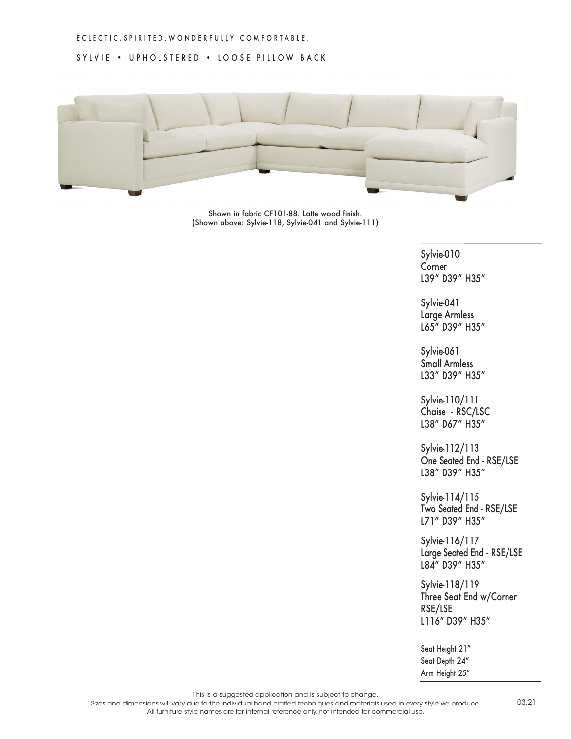## SYLVIE • UPHOLSTERED • LOOSE PILLOW BACK



Shown in fabric CF101-88. Latte wood finish. (Shown above: Sylvie-118, Sylvie-041 and Sylvie-111)

> Sylvie-010 Corner L39" D39" H35"

Sylvie-041 Large Armless L65" D39" H35"

Sylvie-061 Small Armless L33" D39" H35"

Sylvie-110/111 Chaise - RSC/LSC L38" D67" H35"

Sylvie-112/113 One Seated End - RSE/LSE L38" D39" H35"

Sylvie-114/115 Two Seated End - RSE/LSE L71" D39" H35"

Sylvie-116/117 Large Seated End - RSE/LSE L84" D39" H35"

Sylvie-118/119 Three Seat End w/Corner RSE/LSE L116" D39" H35"

Seat Height 21" Seat Depth 24" Arm Height 25"

This is a suggested application and is subject to change.

Sizes and dimensions will vary due to the individual hand crafted techniques and materials used in every style we produce. All furniture style names are for internal reference only, not intended for commercial use.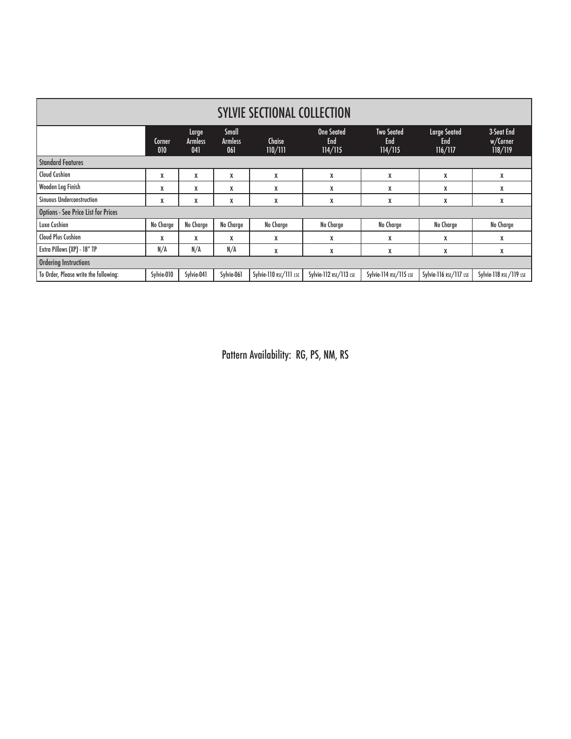| <b>SYLVIE SECTIONAL COLLECTION</b>         |               |                                |                                       |                        |                                            |                                            |                                              |                                   |
|--------------------------------------------|---------------|--------------------------------|---------------------------------------|------------------------|--------------------------------------------|--------------------------------------------|----------------------------------------------|-----------------------------------|
|                                            | Corner<br>010 | Large<br><b>Armless</b><br>041 | <b>Small</b><br><b>Armless</b><br>061 | Chaise<br>110/111      | <b>One Seated</b><br><b>End</b><br>114/115 | <b>Two Seated</b><br><b>End</b><br>114/115 | <b>Large Seated</b><br><b>End</b><br>116/117 | 3-Seat End<br>w/Corner<br>118/119 |
| <b>Standard Features</b>                   |               |                                |                                       |                        |                                            |                                            |                                              |                                   |
| Cloud Cushion                              | X             | X                              | X                                     | X                      | X                                          | X                                          | X                                            | X                                 |
| Wooden Leg Finish                          | X             | X                              | X                                     | X                      | X                                          | X                                          | X                                            | X                                 |
| <b>Sinuous Underconstruction</b>           | X             | X                              | X                                     | X                      | X                                          | X                                          | X                                            | X                                 |
| <b>Options - See Price List for Prices</b> |               |                                |                                       |                        |                                            |                                            |                                              |                                   |
| Luxe Cushion                               | No Charge     | No Charge                      | No Charge                             | No Charge              | No Charge                                  | No Charge                                  | No Charge                                    | No Charge                         |
| <b>Cloud Plus Cushion</b>                  | X             | X                              | X                                     | X                      | X                                          | X                                          | X                                            | X                                 |
| Extra Pillows (XP) - 18" TP                | N/A           | N/A                            | N/A                                   | X                      | X                                          | X                                          | X                                            | X                                 |
| <b>Ordering Instructions</b>               |               |                                |                                       |                        |                                            |                                            |                                              |                                   |
| To Order, Please write the following:      | Sylvie-010    | Sylvie-041                     | Sylvie-061                            | Sylvie-110 RSC/111 LSC | Sylvie-112 RSE/113 LSE                     | Sylvie-114 RSE/115 LSE                     | Sylvie-116 RSE/117 LSE                       | Sylvie-118 RSE /119 LSE           |

Pattern Availability: RG, PS, NM, RS